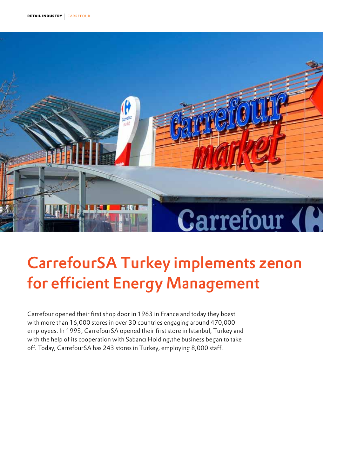

# CarrefourSA Turkey implements zenon for efficient Energy Management

Carrefour opened their first shop door in 1963 in France and today they boast with more than 16,000 stores in over 30 countries engaging around 470,000 employees. In 1993, CarrefourSA opened their first store in Istanbul, Turkey and with the help of its cooperation with Sabancı Holding,the business began to take off. Today, CarrefourSA has 243 stores in Turkey, employing 8,000 staff.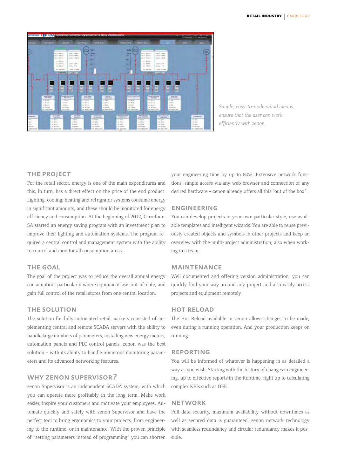

*Simple, easy-to-understand menus ensure that the user can work efficiently with zenon.*

# the project

For the retail sector, energy is one of the main expenditures and this, in turn, has a direct effect on the price of the end product. Lighting, cooling, heating and refrigrator systems consume energy in significant amounts, and these should be monitored for energy efficiency and consumption. At the beginning of 2012, Carrefour-SA started an energy saving program with an investment plan to improve their lighting and automation systems. The program required a central control and management system with the ability to control and monitor all consumption areas.

## **THE GOAL**

The goal of the project was to reduce the overall annual energy consumption, particularly where equipment was out-of-date, and gain full control of the retail stores from one central location.

# the solution

The solution for fully automated retail markets consisted of implementing central and remote SCADA servers with the ability to handle large numbers of parameters, installing new energy meters, automation panels and PLC control panels. zenon was the best solution – with its ability to handle numerous monitoring parameters and its advanced networking features.

# why zenon supervisor?

zenon Supervisor is an independent SCADA system, with which you can operate more profitably in the long term. Make work easier, inspire your customers and motivate your employees. Automate quickly and safely with zenon Supervisor and have the perfect tool to bring ergonomics to your projects, from engineering to the runtime, or in maintenance. With the proven principle of "setting parameters instead of programming" you can shorten your engineering time by up to 80%. Extensive network functions, simple access via any web browser and connection of any desired hardware – zenon already offers all this "out of the box".

# engineering

You can develop projects in your own particular style, use available templates and intelligent wizards. You are able to reuse previously created objects and symbols in other projects and keep an overview with the multi-project administration, also when working in a team.

## maintenance

Well documented and offering version administration, you can quickly find your way around any project and also easily access projects and equipment remotely.

# hot reload

The Hot Reload available in zenon allows changes to be made, even during a running operation. And your production keeps on running.

#### **REPORTING**

You will be informed of whatever is happening in as detailed a way as you wish. Starting with the history of changes in engineering, up to effective reports in the Runtime, right up to calculating complex KPIs such as OEE.

## **NETWORK**

Full data security, maximum availability without downtimes as well as secured data is guaranteed. zenon network technology with seamless redundancy and circular redundancy makes it possible.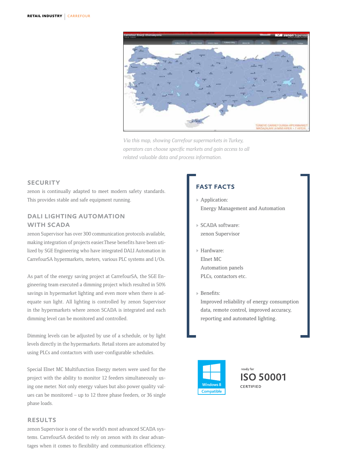

*Via this map, showing Carrefour supermarkets in Turkey, operators can choose specific markets and gain access to all related valuable data and process information.*

## **SECURITY**

zenon is continually adapted to meet modern safety standards. This provides stable and safe equipment running.

# dali lighting automation WITH SCADA

zenon Supervisor has over 300 communication protocols available, making integration of projects easier.These benefits have been utilized by SGE Engineering who have integrated DALI Automation in CarrefourSA hypermarkets, meters, various PLC systems and I/Os.

As part of the energy saving project at CarrefourSA, the SGE Engineering team executed a dimming project which resulted in 50% savings in hypermarket lighting and even more when there is adequate sun light. All lighting is controlled by zenon Supervisor in the hypermarkets where zenon SCADA is integrated and each dimming level can be monitored and controlled.

Dimming levels can be adjusted by use of a schedule, or by light levels directly in the hypermarkets. Retail stores are automated by using PLCs and contactors with user-configurable schedules.

Special Elnet MC Multifunction Energy meters were used for the project with the ability to monitor 12 feeders simultaneously using one meter. Not only energy values but also power quality values can be monitored – up to 12 three phase feeders, or 36 single phase loads.

## **RESULTS**

zenon Supervisor is one of the world's most advanced SCADA systems. CarrefourSA decided to rely on zenon with its clear advantages when it comes to flexibility and communication efficiency.

# fast facts

- Application: Energy Management and Automation
- ▶ SCADA software: zenon Supervisor
- Hardware: Elnet MC Automation panels PLCs, contactors etc.
- Benefits:

Improved reliability of energy consumption data, remote control, improved accuracy, reporting and automated lighting.



ready for **ISO 50001** CERTIFIED